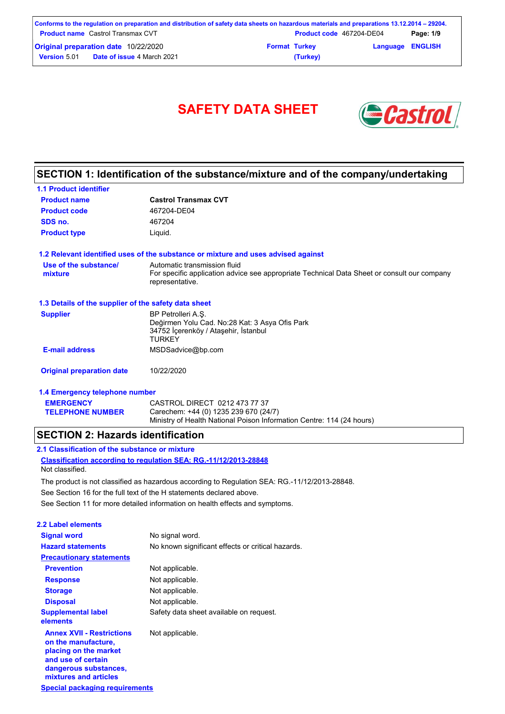|                     | Conforms to the regulation on preparation and distribution of safety data sheets on hazardous materials and preparations 13.12.2014 – 29204. |                      |                                 |                         |           |
|---------------------|----------------------------------------------------------------------------------------------------------------------------------------------|----------------------|---------------------------------|-------------------------|-----------|
|                     | <b>Product name</b> Castrol Transmax CVT                                                                                                     |                      | <b>Product code</b> 467204-DE04 |                         | Page: 1/9 |
|                     | <b>Original preparation date 10/22/2020</b>                                                                                                  | <b>Format Turkey</b> |                                 | <b>Language ENGLISH</b> |           |
| <b>Version 5.01</b> | <b>Date of issue 4 March 2021</b>                                                                                                            |                      | (Turkey)                        |                         |           |



# **SECTION 1: Identification of the substance/mixture and of the company/undertaking**

| <b>1.1 Product identifier</b>                        |                                                                                                                               |
|------------------------------------------------------|-------------------------------------------------------------------------------------------------------------------------------|
| <b>Product name</b>                                  | <b>Castrol Transmax CVT</b>                                                                                                   |
| <b>Product code</b>                                  | 467204-DE04                                                                                                                   |
| SDS no.                                              | 467204                                                                                                                        |
| <b>Product type</b>                                  | Liquid.                                                                                                                       |
|                                                      | 1.2 Relevant identified uses of the substance or mixture and uses advised against                                             |
| Use of the substance/                                | Automatic transmission fluid                                                                                                  |
| mixture                                              | For specific application advice see appropriate Technical Data Sheet or consult our company<br>representative.                |
| 1.3 Details of the supplier of the safety data sheet |                                                                                                                               |
| <b>Supplier</b>                                      | BP Petrolleri A.S.<br>Değirmen Yolu Cad. No:28 Kat: 3 Asya Ofis Park<br>34752 İçerenköy / Ataşehir, İstanbul<br><b>TURKEY</b> |
| <b>E-mail address</b>                                | MSDSadvice@bp.com                                                                                                             |
| <b>Original preparation date</b>                     | 10/22/2020                                                                                                                    |
| 1.4 Emergency telephone number                       |                                                                                                                               |
| <b>EMERGENCY</b>                                     | CASTROL DIRECT 0212 473 77 37                                                                                                 |
| <b>TELEPHONE NUMBER</b>                              | Carechem: +44 (0) 1235 239 670 (24/7)                                                                                         |

Ministry of Health National Poison Information Centre: 114 (24 hours)

## **SECTION 2: Hazards identification**

**Classification according to regulation SEA: RG.-11/12/2013-28848 2.1 Classification of the substance or mixture** Not classified.

See Section 16 for the full text of the H statements declared above. The product is not classified as hazardous according to Regulation SEA: RG.-11/12/2013-28848.

See Section 11 for more detailed information on health effects and symptoms.

| 2.2 Label elements                                                                                                                                       |                                                   |
|----------------------------------------------------------------------------------------------------------------------------------------------------------|---------------------------------------------------|
| <b>Signal word</b>                                                                                                                                       | No signal word.                                   |
| <b>Hazard statements</b>                                                                                                                                 | No known significant effects or critical hazards. |
| <b>Precautionary statements</b>                                                                                                                          |                                                   |
| <b>Prevention</b>                                                                                                                                        | Not applicable.                                   |
| <b>Response</b>                                                                                                                                          | Not applicable.                                   |
| <b>Storage</b>                                                                                                                                           | Not applicable.                                   |
| <b>Disposal</b>                                                                                                                                          | Not applicable.                                   |
| <b>Supplemental label</b><br>elements                                                                                                                    | Safety data sheet available on request.           |
| <b>Annex XVII - Restrictions</b><br>on the manufacture,<br>placing on the market<br>and use of certain<br>dangerous substances,<br>mixtures and articles | Not applicable.                                   |
| Special packaging requirements                                                                                                                           |                                                   |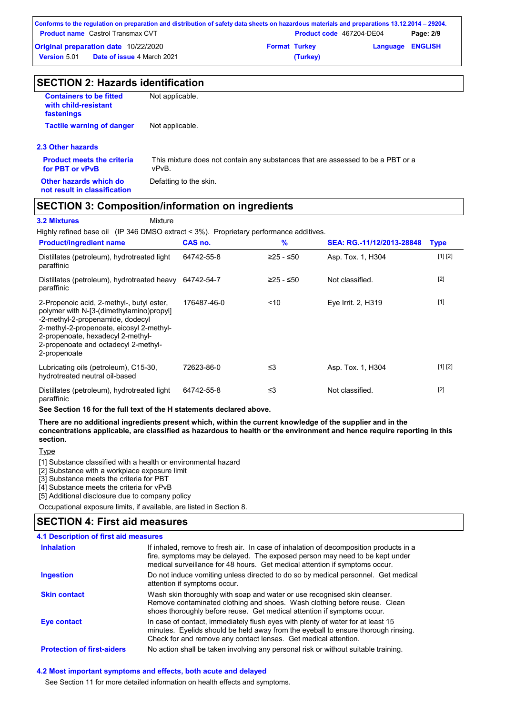|                     | Conforms to the regulation on preparation and distribution of safety data sheets on hazardous materials and preparations 13.12.2014 – 29204. |                      |                                 |                         |           |
|---------------------|----------------------------------------------------------------------------------------------------------------------------------------------|----------------------|---------------------------------|-------------------------|-----------|
|                     | <b>Product name</b> Castrol Transmax CVT                                                                                                     |                      | <b>Product code</b> 467204-DE04 |                         | Page: 2/9 |
|                     | <b>Original preparation date 10/22/2020</b>                                                                                                  | <b>Format Turkey</b> |                                 | <b>Language ENGLISH</b> |           |
| <b>Version 5.01</b> | <b>Date of issue 4 March 2021</b>                                                                                                            |                      | (Turkey)                        |                         |           |

| <b>SECTION 2: Hazards identification</b>                             |                                                                                          |  |  |  |
|----------------------------------------------------------------------|------------------------------------------------------------------------------------------|--|--|--|
| <b>Containers to be fitted</b><br>with child-resistant<br>fastenings | Not applicable.                                                                          |  |  |  |
| <b>Tactile warning of danger</b>                                     | Not applicable.                                                                          |  |  |  |
| 2.3 Other hazards                                                    |                                                                                          |  |  |  |
| <b>Product meets the criteria</b><br>for PBT or vPvB                 | This mixture does not contain any substances that are assessed to be a PBT or a<br>vPvB. |  |  |  |
| Other hazards which do<br>not result in classification               | Defatting to the skin.                                                                   |  |  |  |

# **SECTION 3: Composition/information on ingredients**

#### **3.2 Mixtures** Mixture

Highly refined base oil (IP 346 DMSO extract < 3%). Proprietary performance additives.

| <b>Product/ingredient name</b>                                                                                                                                                                                                                                     | CAS no.     | %         | SEA: RG.-11/12/2013-28848 | <b>Type</b> |
|--------------------------------------------------------------------------------------------------------------------------------------------------------------------------------------------------------------------------------------------------------------------|-------------|-----------|---------------------------|-------------|
| Distillates (petroleum), hydrotreated light<br>paraffinic                                                                                                                                                                                                          | 64742-55-8  | ≥25 - ≤50 | Asp. Tox. 1, H304         | [1] [2]     |
| Distillates (petroleum), hydrotreated heavy<br>paraffinic                                                                                                                                                                                                          | 64742-54-7  | ≥25 - ≤50 | Not classified.           | $[2]$       |
| 2-Propenoic acid, 2-methyl-, butyl ester,<br>polymer with N-[3-(dimethylamino)propyl]<br>-2-methyl-2-propenamide, dodecyl<br>2-methyl-2-propenoate, eicosyl 2-methyl-<br>2-propenoate, hexadecyl 2-methyl-<br>2-propenoate and octadecyl 2-methyl-<br>2-propenoate | 176487-46-0 | ~10       | Eye Irrit. 2, H319        | $[1]$       |
| Lubricating oils (petroleum), C15-30,<br>hydrotreated neutral oil-based                                                                                                                                                                                            | 72623-86-0  | ≤3        | Asp. Tox. 1, H304         | [1] [2]     |
| Distillates (petroleum), hydrotreated light<br>paraffinic                                                                                                                                                                                                          | 64742-55-8  | ≤3        | Not classified.           | $[2]$       |

**See Section 16 for the full text of the H statements declared above.**

**There are no additional ingredients present which, within the current knowledge of the supplier and in the concentrations applicable, are classified as hazardous to health or the environment and hence require reporting in this section.**

Type

[1] Substance classified with a health or environmental hazard

[2] Substance with a workplace exposure limit

[3] Substance meets the criteria for PBT

[4] Substance meets the criteria for vPvB

[5] Additional disclosure due to company policy

Occupational exposure limits, if available, are listed in Section 8.

# **SECTION 4: First aid measures**

| 4.1 Description of first aid measures |                                                                                                                                                                                                                                                     |
|---------------------------------------|-----------------------------------------------------------------------------------------------------------------------------------------------------------------------------------------------------------------------------------------------------|
| <b>Inhalation</b>                     | If inhaled, remove to fresh air. In case of inhalation of decomposition products in a<br>fire, symptoms may be delayed. The exposed person may need to be kept under<br>medical surveillance for 48 hours. Get medical attention if symptoms occur. |
| <b>Ingestion</b>                      | Do not induce vomiting unless directed to do so by medical personnel. Get medical<br>attention if symptoms occur.                                                                                                                                   |
| <b>Skin contact</b>                   | Wash skin thoroughly with soap and water or use recognised skin cleanser.<br>Remove contaminated clothing and shoes. Wash clothing before reuse. Clean<br>shoes thoroughly before reuse. Get medical attention if symptoms occur.                   |
| Eye contact                           | In case of contact, immediately flush eyes with plenty of water for at least 15<br>minutes. Eyelids should be held away from the eyeball to ensure thorough rinsing.<br>Check for and remove any contact lenses. Get medical attention.             |
| <b>Protection of first-aiders</b>     | No action shall be taken involving any personal risk or without suitable training.                                                                                                                                                                  |

#### **4.2 Most important symptoms and effects, both acute and delayed**

See Section 11 for more detailed information on health effects and symptoms.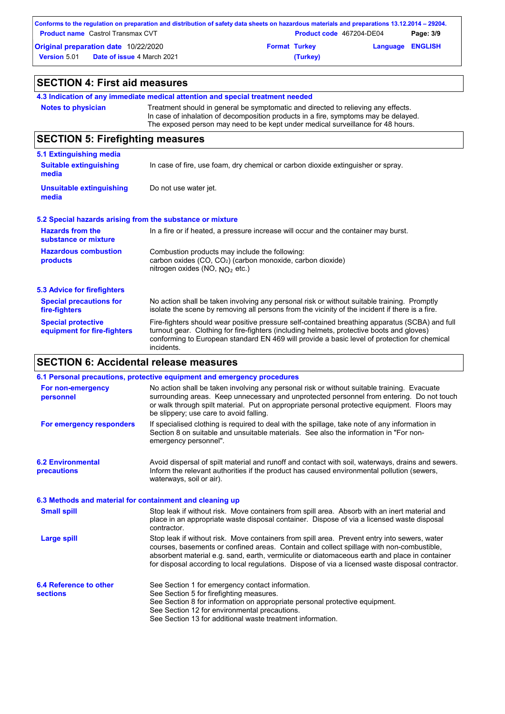| Conforms to the regulation on preparation and distribution of safety data sheets on hazardous materials and preparations 13.12.2014 – 29204. |  |          |                          |           |
|----------------------------------------------------------------------------------------------------------------------------------------------|--|----------|--------------------------|-----------|
| <b>Product name</b> Castrol Transmax CVT                                                                                                     |  |          | Product code 467204-DE04 | Page: 3/9 |
| <b>Original preparation date 10/22/2020</b><br><b>Format Turkey</b>                                                                          |  |          | <b>Language ENGLISH</b>  |           |
| <b>Version 5.01</b><br><b>Date of issue 4 March 2021</b>                                                                                     |  | (Turkey) |                          |           |

| <b>SECTION 4: First aid measures</b>                              |                                                                                                                                                                                                                                                                                                           |  |  |  |
|-------------------------------------------------------------------|-----------------------------------------------------------------------------------------------------------------------------------------------------------------------------------------------------------------------------------------------------------------------------------------------------------|--|--|--|
|                                                                   | 4.3 Indication of any immediate medical attention and special treatment needed                                                                                                                                                                                                                            |  |  |  |
| <b>Notes to physician</b>                                         | Treatment should in general be symptomatic and directed to relieving any effects.<br>In case of inhalation of decomposition products in a fire, symptoms may be delayed.<br>The exposed person may need to be kept under medical surveillance for 48 hours.                                               |  |  |  |
| <b>SECTION 5: Firefighting measures</b>                           |                                                                                                                                                                                                                                                                                                           |  |  |  |
| 5.1 Extinguishing media<br><b>Suitable extinguishing</b><br>media | In case of fire, use foam, dry chemical or carbon dioxide extinguisher or spray.                                                                                                                                                                                                                          |  |  |  |
| <b>Unsuitable extinguishing</b><br>media                          | Do not use water jet.                                                                                                                                                                                                                                                                                     |  |  |  |
| 5.2 Special hazards arising from the substance or mixture         |                                                                                                                                                                                                                                                                                                           |  |  |  |
| <b>Hazards from the</b><br>substance or mixture                   | In a fire or if heated, a pressure increase will occur and the container may burst.                                                                                                                                                                                                                       |  |  |  |
| <b>Hazardous combustion</b><br>products                           | Combustion products may include the following:<br>carbon oxides (CO, CO <sub>2</sub> ) (carbon monoxide, carbon dioxide)<br>nitrogen oxides (NO, $NO2$ etc.)                                                                                                                                              |  |  |  |
| <b>5.3 Advice for firefighters</b>                                |                                                                                                                                                                                                                                                                                                           |  |  |  |
| <b>Special precautions for</b><br>fire-fighters                   | No action shall be taken involving any personal risk or without suitable training. Promptly<br>isolate the scene by removing all persons from the vicinity of the incident if there is a fire.                                                                                                            |  |  |  |
| <b>Special protective</b><br>equipment for fire-fighters          | Fire-fighters should wear positive pressure self-contained breathing apparatus (SCBA) and full<br>turnout gear. Clothing for fire-fighters (including helmets, protective boots and gloves)<br>conforming to European standard EN 469 will provide a basic level of protection for chemical<br>incidents. |  |  |  |

# **SECTION 6: Accidental release measures**

|                                                          | 6.1 Personal precautions, protective equipment and emergency procedures                                                                                                                                                                                                                                                                                                                        |
|----------------------------------------------------------|------------------------------------------------------------------------------------------------------------------------------------------------------------------------------------------------------------------------------------------------------------------------------------------------------------------------------------------------------------------------------------------------|
| For non-emergency<br>personnel                           | No action shall be taken involving any personal risk or without suitable training. Evacuate<br>surrounding areas. Keep unnecessary and unprotected personnel from entering. Do not touch<br>or walk through spilt material. Put on appropriate personal protective equipment. Floors may<br>be slippery; use care to avoid falling.                                                            |
| For emergency responders                                 | If specialised clothing is required to deal with the spillage, take note of any information in<br>Section 8 on suitable and unsuitable materials. See also the information in "For non-<br>emergency personnel".                                                                                                                                                                               |
| <b>6.2 Environmental</b><br>precautions                  | Avoid dispersal of spilt material and runoff and contact with soil, waterways, drains and sewers.<br>Inform the relevant authorities if the product has caused environmental pollution (sewers,<br>waterways, soil or air).                                                                                                                                                                    |
| 6.3 Methods and material for containment and cleaning up |                                                                                                                                                                                                                                                                                                                                                                                                |
| <b>Small spill</b>                                       | Stop leak if without risk. Move containers from spill area. Absorb with an inert material and<br>place in an appropriate waste disposal container. Dispose of via a licensed waste disposal<br>contractor.                                                                                                                                                                                     |
| <b>Large spill</b>                                       | Stop leak if without risk. Move containers from spill area. Prevent entry into sewers, water<br>courses, basements or confined areas. Contain and collect spillage with non-combustible,<br>absorbent material e.g. sand, earth, vermiculite or diatomaceous earth and place in container<br>for disposal according to local regulations. Dispose of via a licensed waste disposal contractor. |
| 6.4 Reference to other<br><b>sections</b>                | See Section 1 for emergency contact information.<br>See Section 5 for firefighting measures.                                                                                                                                                                                                                                                                                                   |
|                                                          | See Section 8 for information on appropriate personal protective equipment.<br>See Section 12 for environmental precautions.                                                                                                                                                                                                                                                                   |
|                                                          | See Section 13 for additional waste treatment information.                                                                                                                                                                                                                                                                                                                                     |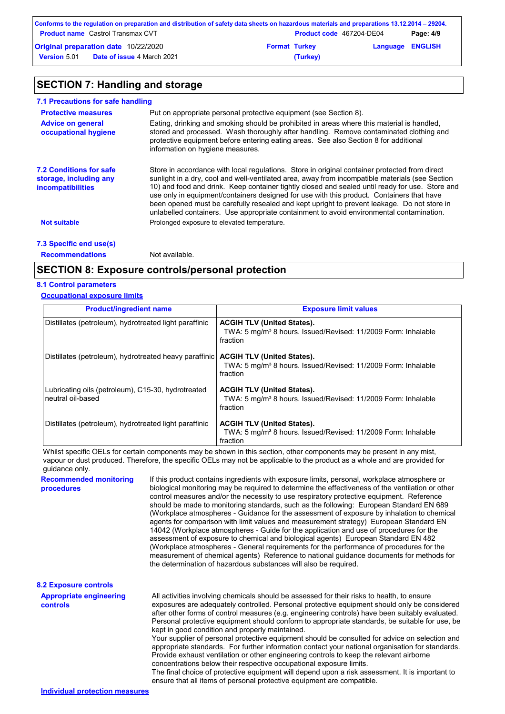|                     | Conforms to the regulation on preparation and distribution of safety data sheets on hazardous materials and preparations 13.12.2014 – 29204. |                      |                                 |                         |           |
|---------------------|----------------------------------------------------------------------------------------------------------------------------------------------|----------------------|---------------------------------|-------------------------|-----------|
|                     | <b>Product name</b> Castrol Transmax CVT                                                                                                     |                      | <b>Product code</b> 467204-DE04 |                         | Page: 4/9 |
|                     | <b>Original preparation date 10/22/2020</b>                                                                                                  | <b>Format Turkey</b> |                                 | <b>Language ENGLISH</b> |           |
| <b>Version 5.01</b> | <b>Date of issue 4 March 2021</b>                                                                                                            |                      | (Turkey)                        |                         |           |

# **SECTION 7: Handling and storage**

| 7.1 Precautions for safe handling                                             |                                                                                                                                                                                                                                                                                                                                                                                                                                                                                                                                                                                             |
|-------------------------------------------------------------------------------|---------------------------------------------------------------------------------------------------------------------------------------------------------------------------------------------------------------------------------------------------------------------------------------------------------------------------------------------------------------------------------------------------------------------------------------------------------------------------------------------------------------------------------------------------------------------------------------------|
| <b>Protective measures</b>                                                    | Put on appropriate personal protective equipment (see Section 8).                                                                                                                                                                                                                                                                                                                                                                                                                                                                                                                           |
| <b>Advice on general</b><br>occupational hygiene                              | Eating, drinking and smoking should be prohibited in areas where this material is handled,<br>stored and processed. Wash thoroughly after handling. Remove contaminated clothing and<br>protective equipment before entering eating areas. See also Section 8 for additional<br>information on hygiene measures.                                                                                                                                                                                                                                                                            |
| <b>7.2 Conditions for safe</b><br>storage, including any<br>incompatibilities | Store in accordance with local regulations. Store in original container protected from direct<br>sunlight in a dry, cool and well-ventilated area, away from incompatible materials (see Section<br>10) and food and drink. Keep container tightly closed and sealed until ready for use. Store and<br>use only in equipment/containers designed for use with this product. Containers that have<br>been opened must be carefully resealed and kept upright to prevent leakage. Do not store in<br>unlabelled containers. Use appropriate containment to avoid environmental contamination. |
| <b>Not suitable</b>                                                           | Prolonged exposure to elevated temperature.                                                                                                                                                                                                                                                                                                                                                                                                                                                                                                                                                 |
| 7.3 Specific end use(s)                                                       |                                                                                                                                                                                                                                                                                                                                                                                                                                                                                                                                                                                             |
| <b>Recommendations</b>                                                        | Not available.                                                                                                                                                                                                                                                                                                                                                                                                                                                                                                                                                                              |

## **SECTION 8: Exposure controls/personal protection**

#### **8.1 Control parameters**

#### **Occupational exposure limits**

| <b>Product/ingredient name</b>                                          | <b>Exposure limit values</b>                                                                                               |
|-------------------------------------------------------------------------|----------------------------------------------------------------------------------------------------------------------------|
| Distillates (petroleum), hydrotreated light paraffinic                  | <b>ACGIH TLV (United States).</b><br>TWA: 5 mg/m <sup>3</sup> 8 hours. Issued/Revised: 11/2009 Form: Inhalable<br>fraction |
| Distillates (petroleum), hydrotreated heavy paraffinic                  | <b>ACGIH TLV (United States).</b><br>TWA: 5 mg/m <sup>3</sup> 8 hours. Issued/Revised: 11/2009 Form: Inhalable<br>fraction |
| Lubricating oils (petroleum), C15-30, hydrotreated<br>neutral oil-based | <b>ACGIH TLV (United States).</b><br>TWA: 5 mg/m <sup>3</sup> 8 hours. Issued/Revised: 11/2009 Form: Inhalable<br>fraction |
| Distillates (petroleum), hydrotreated light paraffinic                  | <b>ACGIH TLV (United States).</b><br>TWA: 5 mg/m <sup>3</sup> 8 hours. Issued/Revised: 11/2009 Form: Inhalable<br>fraction |

Whilst specific OELs for certain components may be shown in this section, other components may be present in any mist, vapour or dust produced. Therefore, the specific OELs may not be applicable to the product as a whole and are provided for guidance only.

**Recommended monitoring procedures** If this product contains ingredients with exposure limits, personal, workplace atmosphere or biological monitoring may be required to determine the effectiveness of the ventilation or other control measures and/or the necessity to use respiratory protective equipment. Reference should be made to monitoring standards, such as the following: European Standard EN 689 (Workplace atmospheres - Guidance for the assessment of exposure by inhalation to chemical agents for comparison with limit values and measurement strategy) European Standard EN 14042 (Workplace atmospheres - Guide for the application and use of procedures for the assessment of exposure to chemical and biological agents) European Standard EN 482 (Workplace atmospheres - General requirements for the performance of procedures for the measurement of chemical agents) Reference to national guidance documents for methods for the determination of hazardous substances will also be required.

| <b>8.2 Exposure controls</b>                      |                                                                                                                                                                                                                                                                                                                                                                                                                                                                                                                                                   |
|---------------------------------------------------|---------------------------------------------------------------------------------------------------------------------------------------------------------------------------------------------------------------------------------------------------------------------------------------------------------------------------------------------------------------------------------------------------------------------------------------------------------------------------------------------------------------------------------------------------|
| <b>Appropriate engineering</b><br><b>controls</b> | All activities involving chemicals should be assessed for their risks to health, to ensure<br>exposures are adequately controlled. Personal protective equipment should only be considered<br>after other forms of control measures (e.g. engineering controls) have been suitably evaluated.<br>Personal protective equipment should conform to appropriate standards, be suitable for use, be<br>kept in good condition and properly maintained.                                                                                                |
|                                                   | Your supplier of personal protective equipment should be consulted for advice on selection and<br>appropriate standards. For further information contact your national organisation for standards.<br>Provide exhaust ventilation or other engineering controls to keep the relevant airborne<br>concentrations below their respective occupational exposure limits.<br>The final choice of protective equipment will depend upon a risk assessment. It is important to<br>ensure that all items of personal protective equipment are compatible. |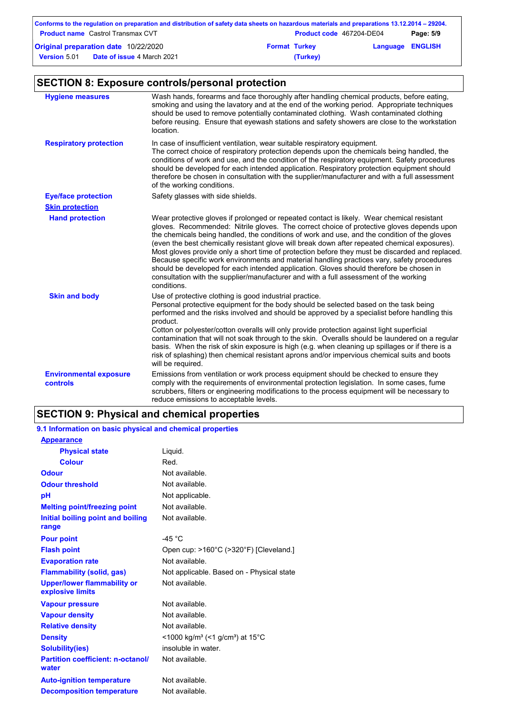| Conforms to the regulation on preparation and distribution of safety data sheets on hazardous materials and preparations 13.12.2014 – 29204. |                                          |                      |                          |                         |           |
|----------------------------------------------------------------------------------------------------------------------------------------------|------------------------------------------|----------------------|--------------------------|-------------------------|-----------|
|                                                                                                                                              | <b>Product name</b> Castrol Transmax CVT |                      | Product code 467204-DE04 |                         | Page: 5/9 |
| <b>Original preparation date 10/22/2020</b>                                                                                                  |                                          | <b>Format Turkey</b> |                          | <b>Language ENGLISH</b> |           |
| <b>Version 5.01</b>                                                                                                                          | <b>Date of issue 4 March 2021</b>        |                      | (Turkey)                 |                         |           |

# **SECTION 8: Exposure controls/personal protection**

| <b>Hygiene measures</b>                   | Wash hands, forearms and face thoroughly after handling chemical products, before eating,<br>smoking and using the lavatory and at the end of the working period. Appropriate techniques<br>should be used to remove potentially contaminated clothing. Wash contaminated clothing<br>before reusing. Ensure that eyewash stations and safety showers are close to the workstation<br>location.                                                                                                                                                                                                                                                                                                                                                                                              |
|-------------------------------------------|----------------------------------------------------------------------------------------------------------------------------------------------------------------------------------------------------------------------------------------------------------------------------------------------------------------------------------------------------------------------------------------------------------------------------------------------------------------------------------------------------------------------------------------------------------------------------------------------------------------------------------------------------------------------------------------------------------------------------------------------------------------------------------------------|
| <b>Respiratory protection</b>             | In case of insufficient ventilation, wear suitable respiratory equipment.<br>The correct choice of respiratory protection depends upon the chemicals being handled, the<br>conditions of work and use, and the condition of the respiratory equipment. Safety procedures<br>should be developed for each intended application. Respiratory protection equipment should<br>therefore be chosen in consultation with the supplier/manufacturer and with a full assessment<br>of the working conditions.                                                                                                                                                                                                                                                                                        |
| <b>Eye/face protection</b>                | Safety glasses with side shields.                                                                                                                                                                                                                                                                                                                                                                                                                                                                                                                                                                                                                                                                                                                                                            |
| <b>Skin protection</b>                    |                                                                                                                                                                                                                                                                                                                                                                                                                                                                                                                                                                                                                                                                                                                                                                                              |
| <b>Hand protection</b>                    | Wear protective gloves if prolonged or repeated contact is likely. Wear chemical resistant<br>gloves. Recommended: Nitrile gloves. The correct choice of protective gloves depends upon<br>the chemicals being handled, the conditions of work and use, and the condition of the gloves<br>(even the best chemically resistant glove will break down after repeated chemical exposures).<br>Most gloves provide only a short time of protection before they must be discarded and replaced.<br>Because specific work environments and material handling practices vary, safety procedures<br>should be developed for each intended application. Gloves should therefore be chosen in<br>consultation with the supplier/manufacturer and with a full assessment of the working<br>conditions. |
| <b>Skin and body</b>                      | Use of protective clothing is good industrial practice.<br>Personal protective equipment for the body should be selected based on the task being<br>performed and the risks involved and should be approved by a specialist before handling this<br>product.<br>Cotton or polyester/cotton overalls will only provide protection against light superficial<br>contamination that will not soak through to the skin. Overalls should be laundered on a regular<br>basis. When the risk of skin exposure is high (e.g. when cleaning up spillages or if there is a<br>risk of splashing) then chemical resistant aprons and/or impervious chemical suits and boots<br>will be required.                                                                                                        |
| <b>Environmental exposure</b><br>controls | Emissions from ventilation or work process equipment should be checked to ensure they<br>comply with the requirements of environmental protection legislation. In some cases, fume<br>scrubbers, filters or engineering modifications to the process equipment will be necessary to<br>reduce emissions to acceptable levels.                                                                                                                                                                                                                                                                                                                                                                                                                                                                |

# **SECTION 9: Physical and chemical properties**

### **9.1 Information on basic physical and chemical properties**

| <b>Appearance</b>                                 |                                                                         |
|---------------------------------------------------|-------------------------------------------------------------------------|
| <b>Physical state</b>                             | Liquid.                                                                 |
| <b>Colour</b>                                     | Red.                                                                    |
| Odour                                             | Not available.                                                          |
| <b>Odour threshold</b>                            | Not available.                                                          |
| pH                                                | Not applicable.                                                         |
| <b>Melting point/freezing point</b>               | Not available.                                                          |
| Initial boiling point and boiling                 | Not available.                                                          |
| range                                             |                                                                         |
| <b>Pour point</b>                                 | -45 $^{\circ}$ C                                                        |
| <b>Flash point</b>                                | Open cup: >160°C (>320°F) [Cleveland.]                                  |
| <b>Evaporation rate</b>                           | Not available.                                                          |
| <b>Flammability (solid, gas)</b>                  | Not applicable. Based on - Physical state                               |
| <b>Upper/lower flammability or</b>                | Not available.                                                          |
| explosive limits                                  |                                                                         |
|                                                   |                                                                         |
| <b>Vapour pressure</b>                            | Not available.                                                          |
| <b>Vapour density</b>                             | Not available.                                                          |
| <b>Relative density</b>                           | Not available.                                                          |
| <b>Density</b>                                    | $<$ 1000 kg/m <sup>3</sup> (<1 g/cm <sup>3</sup> ) at 15 <sup>°</sup> C |
| <b>Solubility(ies)</b>                            | insoluble in water.                                                     |
| <b>Partition coefficient: n-octanol/</b><br>water | Not available.                                                          |
| <b>Auto-ignition temperature</b>                  | Not available.                                                          |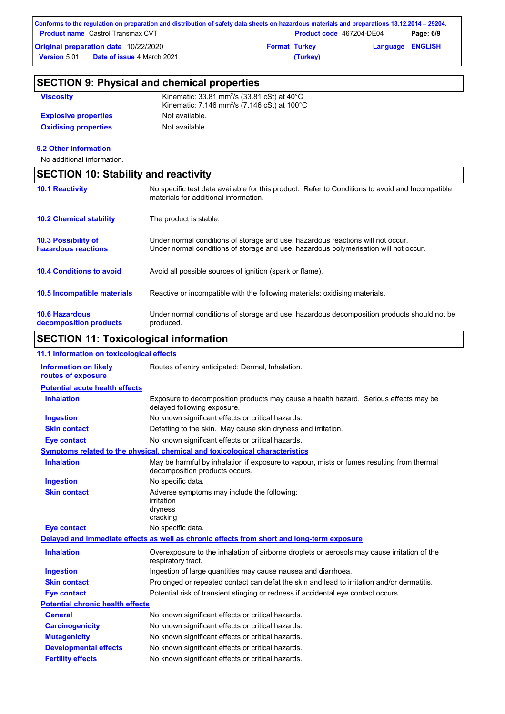| Conforms to the regulation on preparation and distribution of safety data sheets on hazardous materials and preparations 13.12.2014 – 29204. |                                             |                      |                          |                         |           |
|----------------------------------------------------------------------------------------------------------------------------------------------|---------------------------------------------|----------------------|--------------------------|-------------------------|-----------|
|                                                                                                                                              | <b>Product name</b> Castrol Transmax CVT    |                      | Product code 467204-DE04 |                         | Page: 6/9 |
|                                                                                                                                              | <b>Original preparation date 10/22/2020</b> | <b>Format Turkey</b> |                          | <b>Language ENGLISH</b> |           |
| <b>Version 5.01</b>                                                                                                                          | <b>Date of issue 4 March 2021</b>           |                      | (Turkey)                 |                         |           |

| <b>SECTION 9: Physical and chemical properties</b> |                                                                                                                                           |  |  |
|----------------------------------------------------|-------------------------------------------------------------------------------------------------------------------------------------------|--|--|
| <b>Viscosity</b>                                   | Kinematic: $33.81$ mm <sup>2</sup> /s $(33.81 \text{ cSt})$ at $40^{\circ}$ C<br>Kinematic: 7.146 mm <sup>2</sup> /s (7.146 cSt) at 100°C |  |  |
| <b>Explosive properties</b>                        | Not available.                                                                                                                            |  |  |
| <b>Oxidising properties</b>                        | Not available.                                                                                                                            |  |  |

### **9.2 Other information**

No additional information.

| <b>SECTION 10: Stability and reactivity</b>       |                                                                                                                                                                         |  |  |  |
|---------------------------------------------------|-------------------------------------------------------------------------------------------------------------------------------------------------------------------------|--|--|--|
| <b>10.1 Reactivity</b>                            | No specific test data available for this product. Refer to Conditions to avoid and Incompatible<br>materials for additional information.                                |  |  |  |
| <b>10.2 Chemical stability</b>                    | The product is stable.                                                                                                                                                  |  |  |  |
| <b>10.3 Possibility of</b><br>hazardous reactions | Under normal conditions of storage and use, hazardous reactions will not occur.<br>Under normal conditions of storage and use, hazardous polymerisation will not occur. |  |  |  |
| <b>10.4 Conditions to avoid</b>                   | Avoid all possible sources of ignition (spark or flame).                                                                                                                |  |  |  |
| <b>10.5 Incompatible materials</b>                | Reactive or incompatible with the following materials: oxidising materials.                                                                                             |  |  |  |
| <b>10.6 Hazardous</b><br>decomposition products   | Under normal conditions of storage and use, hazardous decomposition products should not be<br>produced.                                                                 |  |  |  |

# **SECTION 11: Toxicological information**

| 11.1 Information on toxicological effects          |                                                                                                                             |
|----------------------------------------------------|-----------------------------------------------------------------------------------------------------------------------------|
| <b>Information on likely</b><br>routes of exposure | Routes of entry anticipated: Dermal, Inhalation.                                                                            |
| <b>Potential acute health effects</b>              |                                                                                                                             |
| <b>Inhalation</b>                                  | Exposure to decomposition products may cause a health hazard. Serious effects may be<br>delayed following exposure.         |
| <b>Ingestion</b>                                   | No known significant effects or critical hazards.                                                                           |
| <b>Skin contact</b>                                | Defatting to the skin. May cause skin dryness and irritation.                                                               |
| <b>Eye contact</b>                                 | No known significant effects or critical hazards.                                                                           |
|                                                    | Symptoms related to the physical, chemical and toxicological characteristics                                                |
| <b>Inhalation</b>                                  | May be harmful by inhalation if exposure to vapour, mists or fumes resulting from thermal<br>decomposition products occurs. |
| <b>Ingestion</b>                                   | No specific data.                                                                                                           |
| <b>Skin contact</b>                                | Adverse symptoms may include the following:<br>irritation<br>dryness<br>cracking                                            |
| <b>Eye contact</b>                                 | No specific data.                                                                                                           |
|                                                    | Delayed and immediate effects as well as chronic effects from short and long-term exposure                                  |
| <b>Inhalation</b>                                  | Overexposure to the inhalation of airborne droplets or aerosols may cause irritation of the<br>respiratory tract.           |
| <b>Ingestion</b>                                   | Ingestion of large quantities may cause nausea and diarrhoea.                                                               |
| <b>Skin contact</b>                                | Prolonged or repeated contact can defat the skin and lead to irritation and/or dermatitis.                                  |
| <b>Eye contact</b>                                 | Potential risk of transient stinging or redness if accidental eye contact occurs.                                           |
| <b>Potential chronic health effects</b>            |                                                                                                                             |
| <b>General</b>                                     | No known significant effects or critical hazards.                                                                           |
| <b>Carcinogenicity</b>                             | No known significant effects or critical hazards.                                                                           |
| <b>Mutagenicity</b>                                | No known significant effects or critical hazards.                                                                           |
| <b>Developmental effects</b>                       | No known significant effects or critical hazards.                                                                           |
| <b>Fertility effects</b>                           | No known significant effects or critical hazards.                                                                           |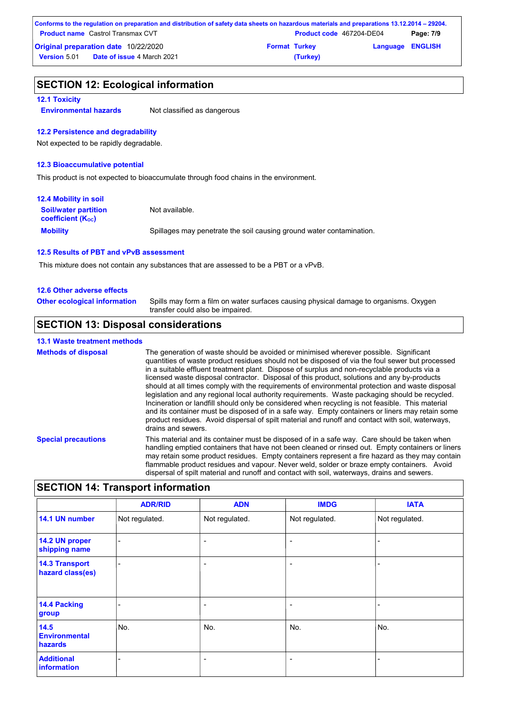| Conforms to the regulation on preparation and distribution of safety data sheets on hazardous materials and preparations 13.12.2014 – 29204. |                      |                                 |                         |           |  |
|----------------------------------------------------------------------------------------------------------------------------------------------|----------------------|---------------------------------|-------------------------|-----------|--|
| <b>Product name</b> Castrol Transmax CVT                                                                                                     |                      | <b>Product code</b> 467204-DE04 |                         | Page: 7/9 |  |
| <b>Original preparation date 10/22/2020</b>                                                                                                  | <b>Format Turkey</b> |                                 | <b>Language ENGLISH</b> |           |  |
| <b>Date of issue 4 March 2021</b><br><b>Version 5.01</b>                                                                                     |                      | (Turkey)                        |                         |           |  |

### **SECTION 12: Ecological information**

#### **12.1 Toxicity**

**Environmental hazards** Not classified as dangerous

#### **12.2 Persistence and degradability**

Not expected to be rapidly degradable.

#### **12.3 Bioaccumulative potential**

This product is not expected to bioaccumulate through food chains in the environment.

| <b>12.4 Mobility in soil</b>                                  |                                                                      |
|---------------------------------------------------------------|----------------------------------------------------------------------|
| <b>Soil/water partition</b><br>coefficient (K <sub>oc</sub> ) | Not available.                                                       |
| <b>Mobility</b>                                               | Spillages may penetrate the soil causing ground water contamination. |

#### **12.5 Results of PBT and vPvB assessment**

This mixture does not contain any substances that are assessed to be a PBT or a vPvB.

#### **12.6 Other adverse effects**

Spills may form a film on water surfaces causing physical damage to organisms. Oxygen transfer could also be impaired. **Other ecological information**

### **SECTION 13: Disposal considerations**

#### **13.1 Waste treatment methods**

**Special precautions** This material and its container must be disposed of in a safe way. Care should be taken when handling emptied containers that have not been cleaned or rinsed out. Empty containers or liners **Methods of disposal** The generation of waste should be avoided or minimised wherever possible. Significant quantities of waste product residues should not be disposed of via the foul sewer but processed in a suitable effluent treatment plant. Dispose of surplus and non-recyclable products via a licensed waste disposal contractor. Disposal of this product, solutions and any by-products should at all times comply with the requirements of environmental protection and waste disposal legislation and any regional local authority requirements. Waste packaging should be recycled. Incineration or landfill should only be considered when recycling is not feasible. This material and its container must be disposed of in a safe way. Empty containers or liners may retain some product residues. Avoid dispersal of spilt material and runoff and contact with soil, waterways, drains and sewers.

> may retain some product residues. Empty containers represent a fire hazard as they may contain flammable product residues and vapour. Never weld, solder or braze empty containers. Avoid dispersal of spilt material and runoff and contact with soil, waterways, drains and sewers.

## **SECTION 14: Transport information**

|                                           | <b>ADR/RID</b> | <b>ADN</b>               | <b>IMDG</b>    | <b>IATA</b>    |
|-------------------------------------------|----------------|--------------------------|----------------|----------------|
| 14.1 UN number                            | Not regulated. | Not regulated.           | Not regulated. | Not regulated. |
| 14.2 UN proper<br>shipping name           |                | $\overline{\phantom{0}}$ | ۰              |                |
| <b>14.3 Transport</b><br>hazard class(es) |                | ۰                        | ۰              |                |
| 14.4 Packing<br>group                     |                | ÷                        | ۰              |                |
| 14.5<br><b>Environmental</b><br>hazards   | No.            | No.                      | No.            | No.            |
| <b>Additional</b><br>information          |                | ۰                        | ۰              | ۰              |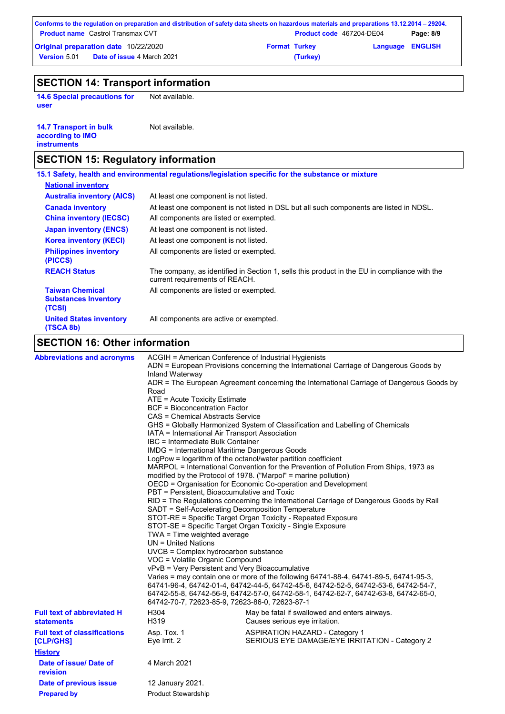|                                             | Conforms to the regulation on preparation and distribution of safety data sheets on hazardous materials and preparations 13.12.2014 – 29204. |                      |                                 |                         |           |
|---------------------------------------------|----------------------------------------------------------------------------------------------------------------------------------------------|----------------------|---------------------------------|-------------------------|-----------|
|                                             | <b>Product name</b> Castrol Transmax CVT                                                                                                     |                      | <b>Product code</b> 467204-DE04 |                         | Page: 8/9 |
| <b>Original preparation date 10/22/2020</b> |                                                                                                                                              | <b>Format Turkey</b> |                                 | <b>Language ENGLISH</b> |           |
| Version 5.01                                | <b>Date of issue 4 March 2021</b>                                                                                                            |                      | (Turkey)                        |                         |           |

# **SECTION 14: Transport information**

**14.6 Special precautions for user**

Not available.

| <b>14.7 Transport in bulk</b> | Not available. |
|-------------------------------|----------------|
| according to <b>IMO</b>       |                |
| <b>instruments</b>            |                |

# **SECTION 15: Regulatory information**

|                                                                 | 15.1 Safety, health and environmental regulations/legislation specific for the substance or mixture                            |
|-----------------------------------------------------------------|--------------------------------------------------------------------------------------------------------------------------------|
| <b>National inventory</b>                                       |                                                                                                                                |
| <b>Australia inventory (AICS)</b>                               | At least one component is not listed.                                                                                          |
| <b>Canada inventory</b>                                         | At least one component is not listed in DSL but all such components are listed in NDSL.                                        |
| <b>China inventory (IECSC)</b>                                  | All components are listed or exempted.                                                                                         |
| <b>Japan inventory (ENCS)</b>                                   | At least one component is not listed.                                                                                          |
| <b>Korea inventory (KECI)</b>                                   | At least one component is not listed.                                                                                          |
| <b>Philippines inventory</b><br>(PICCS)                         | All components are listed or exempted.                                                                                         |
| <b>REACH Status</b>                                             | The company, as identified in Section 1, sells this product in the EU in compliance with the<br>current requirements of REACH. |
| <b>Taiwan Chemical</b><br><b>Substances Inventory</b><br>(TCSI) | All components are listed or exempted.                                                                                         |
| <b>United States inventory</b><br>(TSCA 8b)                     | All components are active or exempted.                                                                                         |
| <b>SECTION 16: Other information</b>                            |                                                                                                                                |

# **SECTION 16: Other information**

| <b>Abbreviations and acronyms</b>                                  | ACGIH = American Conference of Industrial Hygienists<br>Inland Waterway<br>Road<br>ATE = Acute Toxicity Estimate<br><b>BCF</b> = Bioconcentration Factor<br>CAS = Chemical Abstracts Service<br>IATA = International Air Transport Association<br>IBC = Intermediate Bulk Container<br>IMDG = International Maritime Dangerous Goods<br>PBT = Persistent, Bioaccumulative and Toxic<br>SADT = Self-Accelerating Decomposition Temperature<br>TWA = Time weighted average<br>$UN = United Nations$<br>UVCB = Complex hydrocarbon substance<br>VOC = Volatile Organic Compound<br>vPvB = Very Persistent and Very Bioaccumulative<br>64742-70-7, 72623-85-9, 72623-86-0, 72623-87-1 | ADN = European Provisions concerning the International Carriage of Dangerous Goods by<br>ADR = The European Agreement concerning the International Carriage of Dangerous Goods by<br>GHS = Globally Harmonized System of Classification and Labelling of Chemicals<br>LogPow = logarithm of the octanol/water partition coefficient<br>MARPOL = International Convention for the Prevention of Pollution From Ships, 1973 as<br>modified by the Protocol of 1978. ("Marpol" = marine pollution)<br>OECD = Organisation for Economic Co-operation and Development<br>RID = The Regulations concerning the International Carriage of Dangerous Goods by Rail<br>STOT-RE = Specific Target Organ Toxicity - Repeated Exposure<br>STOT-SE = Specific Target Organ Toxicity - Single Exposure<br>Varies = may contain one or more of the following 64741-88-4, 64741-89-5, 64741-95-3,<br>64741-96-4, 64742-01-4, 64742-44-5, 64742-45-6, 64742-52-5, 64742-53-6, 64742-54-7,<br>64742-55-8, 64742-56-9, 64742-57-0, 64742-58-1, 64742-62-7, 64742-63-8, 64742-65-0, |
|--------------------------------------------------------------------|-----------------------------------------------------------------------------------------------------------------------------------------------------------------------------------------------------------------------------------------------------------------------------------------------------------------------------------------------------------------------------------------------------------------------------------------------------------------------------------------------------------------------------------------------------------------------------------------------------------------------------------------------------------------------------------|-----------------------------------------------------------------------------------------------------------------------------------------------------------------------------------------------------------------------------------------------------------------------------------------------------------------------------------------------------------------------------------------------------------------------------------------------------------------------------------------------------------------------------------------------------------------------------------------------------------------------------------------------------------------------------------------------------------------------------------------------------------------------------------------------------------------------------------------------------------------------------------------------------------------------------------------------------------------------------------------------------------------------------------------------------------------|
| <b>Full text of abbreviated H</b><br><b>statements</b>             | H304<br>H319                                                                                                                                                                                                                                                                                                                                                                                                                                                                                                                                                                                                                                                                      | May be fatal if swallowed and enters airways.<br>Causes serious eye irritation.                                                                                                                                                                                                                                                                                                                                                                                                                                                                                                                                                                                                                                                                                                                                                                                                                                                                                                                                                                                 |
| <b>Full text of classifications</b><br>[CLP/GHS]<br><b>History</b> | Asp. Tox. 1<br>Eye Irrit. 2                                                                                                                                                                                                                                                                                                                                                                                                                                                                                                                                                                                                                                                       | <b>ASPIRATION HAZARD - Category 1</b><br>SERIOUS EYE DAMAGE/EYE IRRITATION - Category 2                                                                                                                                                                                                                                                                                                                                                                                                                                                                                                                                                                                                                                                                                                                                                                                                                                                                                                                                                                         |
| Date of issue/ Date of<br>revision                                 | 4 March 2021                                                                                                                                                                                                                                                                                                                                                                                                                                                                                                                                                                                                                                                                      |                                                                                                                                                                                                                                                                                                                                                                                                                                                                                                                                                                                                                                                                                                                                                                                                                                                                                                                                                                                                                                                                 |
| Date of previous issue<br><b>Prepared by</b>                       | 12 January 2021.<br><b>Product Stewardship</b>                                                                                                                                                                                                                                                                                                                                                                                                                                                                                                                                                                                                                                    |                                                                                                                                                                                                                                                                                                                                                                                                                                                                                                                                                                                                                                                                                                                                                                                                                                                                                                                                                                                                                                                                 |